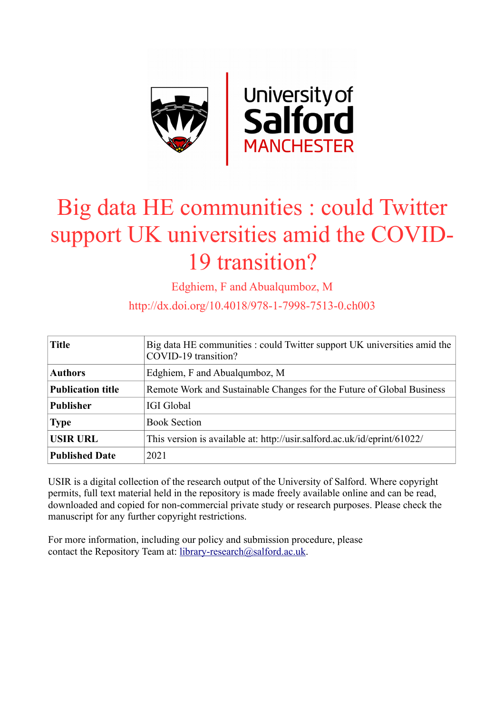

## Big data HE communities : could Twitter support UK universities amid the COVID-19 transition?

Edghiem, F and Abualqumboz, M

http://dx.doi.org/10.4018/978-1-7998-7513-0.ch003

| <b>Title</b>             | Big data HE communities : could Twitter support UK universities amid the<br>COVID-19 transition? |  |
|--------------------------|--------------------------------------------------------------------------------------------------|--|
| <b>Authors</b>           | Edghiem, F and Abualqumboz, M                                                                    |  |
| <b>Publication title</b> | Remote Work and Sustainable Changes for the Future of Global Business                            |  |
| <b>Publisher</b>         | <b>IGI Global</b>                                                                                |  |
| <b>Type</b>              | <b>Book Section</b>                                                                              |  |
| <b>USIR URL</b>          | This version is available at: http://usir.salford.ac.uk/id/eprint/61022/                         |  |
| <b>Published Date</b>    | 2021                                                                                             |  |

USIR is a digital collection of the research output of the University of Salford. Where copyright permits, full text material held in the repository is made freely available online and can be read, downloaded and copied for non-commercial private study or research purposes. Please check the manuscript for any further copyright restrictions.

For more information, including our policy and submission procedure, please contact the Repository Team at: [library-research@salford.ac.uk.](mailto:library-research@salford.ac.uk)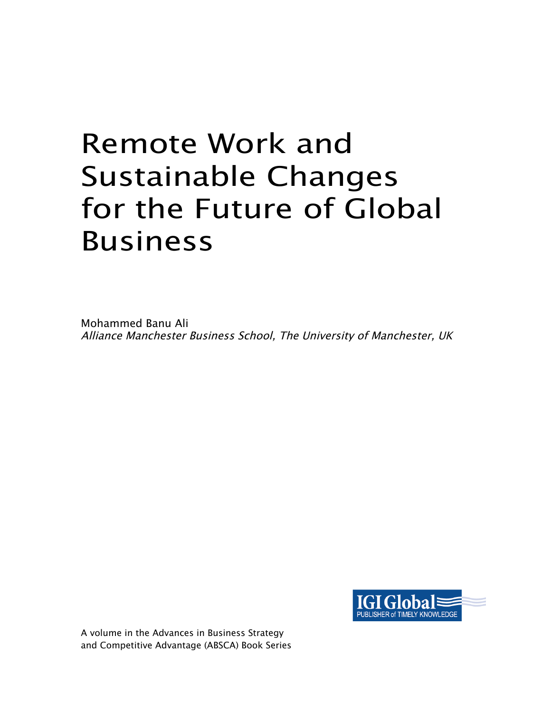# Remote Work and Sustainable Changes for the Future of Global Business

Mohammed Banu Ali Alliance Manchester Business School, The University of Manchester, UK



A volume in the Advances in Business Strategy and Competitive Advantage (ABSCA) Book Series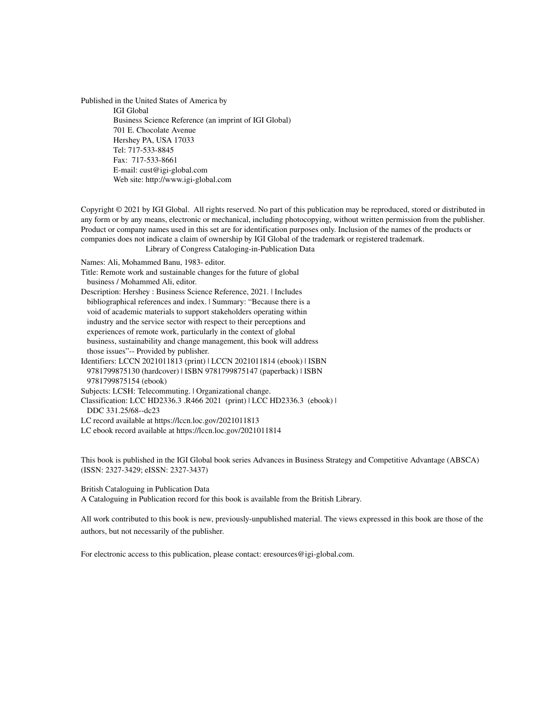Published in the United States of America by IGI Global Business Science Reference (an imprint of IGI Global) 701 E. Chocolate Avenue Hershey PA, USA 17033 Tel: 717-533-8845 Fax: 717-533-8661 E-mail: cust@igi-global.com Web site: http://www.igi-global.com

Copyright © 2021 by IGI Global. All rights reserved. No part of this publication may be reproduced, stored or distributed in any form or by any means, electronic or mechanical, including photocopying, without written permission from the publisher. Product or company names used in this set are for identification purposes only. Inclusion of the names of the products or companies does not indicate a claim of ownership by IGI Global of the trademark or registered trademark.

Library of Congress Cataloging-in-Publication Data

Names: Ali, Mohammed Banu, 1983- editor.

Title: Remote work and sustainable changes for the future of global

business / Mohammed Ali, editor.

Description: Hershey : Business Science Reference, 2021. | Includes bibliographical references and index. | Summary: "Because there is a void of academic materials to support stakeholders operating within industry and the service sector with respect to their perceptions and experiences of remote work, particularly in the context of global business, sustainability and change management, this book will address those issues"-- Provided by publisher.

Identifiers: LCCN 2021011813 (print) | LCCN 2021011814 (ebook) | ISBN 9781799875130 (hardcover) | ISBN 9781799875147 (paperback) | ISBN 9781799875154 (ebook)

Subjects: LCSH: Telecommuting. | Organizational change.

Classification: LCC HD2336.3 .R466 2021 (print) | LCC HD2336.3 (ebook) | DDC 331.25/68--dc23

LC record available at https://lccn.loc.gov/2021011813

LC ebook record available at https://lccn.loc.gov/2021011814

This book is published in the IGI Global book series Advances in Business Strategy and Competitive Advantage (ABSCA) (ISSN: 2327-3429; eISSN: 2327-3437)

British Cataloguing in Publication Data A Cataloguing in Publication record for this book is available from the British Library.

All work contributed to this book is new, previously-unpublished material. The views expressed in this book are those of the authors, but not necessarily of the publisher.

For electronic access to this publication, please contact: eresources@igi-global.com.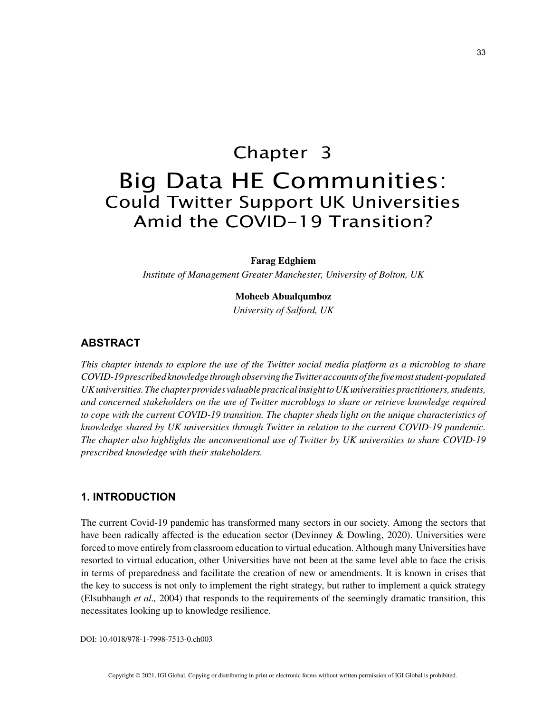### Chapter 3 Big Data HE Communities: Could Twitter Support UK Universities Amid the COVID-19 Transition?

**Farag Edghiem**

*Institute of Management Greater Manchester, University of Bolton, UK*

#### **Moheeb Abualqumboz**

*University of Salford, UK*

#### **ABSTRACT**

*This chapter intends to explore the use of the Twitter social media platform as a microblog to share COVID-19 prescribed knowledge through observing the Twitter accounts of the five most student-populated UK universities. The chapter provides valuable practical insight to UK universities practitioners, students, and concerned stakeholders on the use of Twitter microblogs to share or retrieve knowledge required to cope with the current COVID-19 transition. The chapter sheds light on the unique characteristics of knowledge shared by UK universities through Twitter in relation to the current COVID-19 pandemic. The chapter also highlights the unconventional use of Twitter by UK universities to share COVID-19 prescribed knowledge with their stakeholders.*

#### **1. INTRODUCTION**

The current Covid-19 pandemic has transformed many sectors in our society. Among the sectors that have been radically affected is the education sector (Devinney & Dowling, 2020). Universities were forced to move entirely from classroom education to virtual education. Although many Universities have resorted to virtual education, other Universities have not been at the same level able to face the crisis in terms of preparedness and facilitate the creation of new or amendments. It is known in crises that the key to success is not only to implement the right strategy, but rather to implement a quick strategy (Elsubbaugh *et al.,* 2004) that responds to the requirements of the seemingly dramatic transition, this necessitates looking up to knowledge resilience.

DOI: 10.4018/978-1-7998-7513-0.ch003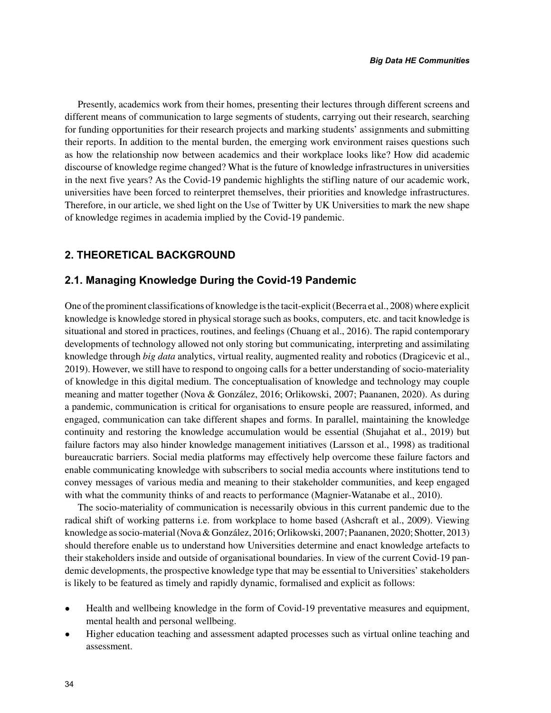Presently, academics work from their homes, presenting their lectures through different screens and different means of communication to large segments of students, carrying out their research, searching for funding opportunities for their research projects and marking students' assignments and submitting their reports. In addition to the mental burden, the emerging work environment raises questions such as how the relationship now between academics and their workplace looks like? How did academic discourse of knowledge regime changed? What is the future of knowledge infrastructures in universities in the next five years? As the Covid-19 pandemic highlights the stifling nature of our academic work, universities have been forced to reinterpret themselves, their priorities and knowledge infrastructures. Therefore, in our article, we shed light on the Use of Twitter by UK Universities to mark the new shape of knowledge regimes in academia implied by the Covid-19 pandemic.

#### **2. THEORETICAL BACKGROUND**

#### **2.1. Managing Knowledge During the Covid-19 Pandemic**

One of the prominent classifications of knowledge is the tacit-explicit (Becerra et al., 2008) where explicit knowledge is knowledge stored in physical storage such as books, computers, etc. and tacit knowledge is situational and stored in practices, routines, and feelings (Chuang et al., 2016). The rapid contemporary developments of technology allowed not only storing but communicating, interpreting and assimilating knowledge through *big data* analytics, virtual reality, augmented reality and robotics (Dragicevic et al., 2019). However, we still have to respond to ongoing calls for a better understanding of socio-materiality of knowledge in this digital medium. The conceptualisation of knowledge and technology may couple meaning and matter together (Nova & González, 2016; Orlikowski, 2007; Paananen, 2020). As during a pandemic, communication is critical for organisations to ensure people are reassured, informed, and engaged, communication can take different shapes and forms. In parallel, maintaining the knowledge continuity and restoring the knowledge accumulation would be essential (Shujahat et al., 2019) but failure factors may also hinder knowledge management initiatives (Larsson et al., 1998) as traditional bureaucratic barriers. Social media platforms may effectively help overcome these failure factors and enable communicating knowledge with subscribers to social media accounts where institutions tend to convey messages of various media and meaning to their stakeholder communities, and keep engaged with what the community thinks of and reacts to performance (Magnier-Watanabe et al., 2010).

The socio-materiality of communication is necessarily obvious in this current pandemic due to the radical shift of working patterns i.e. from workplace to home based (Ashcraft et al., 2009). Viewing knowledge as socio-material (Nova & González, 2016; Orlikowski, 2007; Paananen, 2020; Shotter, 2013) should therefore enable us to understand how Universities determine and enact knowledge artefacts to their stakeholders inside and outside of organisational boundaries. In view of the current Covid-19 pandemic developments, the prospective knowledge type that may be essential to Universities' stakeholders is likely to be featured as timely and rapidly dynamic, formalised and explicit as follows:

- Health and wellbeing knowledge in the form of Covid-19 preventative measures and equipment, mental health and personal wellbeing.
- Higher education teaching and assessment adapted processes such as virtual online teaching and assessment.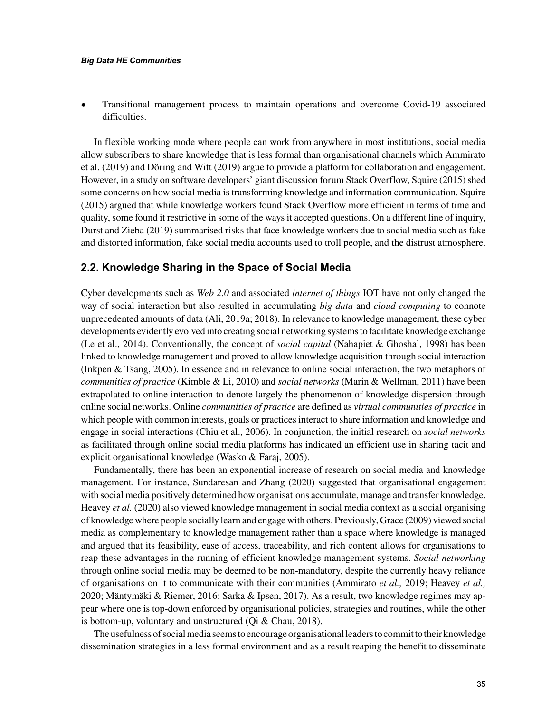#### *Big Data HE Communities*

• Transitional management process to maintain operations and overcome Covid-19 associated difficulties.

In flexible working mode where people can work from anywhere in most institutions, social media allow subscribers to share knowledge that is less formal than organisational channels which Ammirato et al. (2019) and Döring and Witt (2019) argue to provide a platform for collaboration and engagement. However, in a study on software developers' giant discussion forum Stack Overflow, Squire (2015) shed some concerns on how social media is transforming knowledge and information communication. Squire (2015) argued that while knowledge workers found Stack Overflow more efficient in terms of time and quality, some found it restrictive in some of the ways it accepted questions. On a different line of inquiry, Durst and Zieba (2019) summarised risks that face knowledge workers due to social media such as fake and distorted information, fake social media accounts used to troll people, and the distrust atmosphere.

#### **2.2. Knowledge Sharing in the Space of Social Media**

Cyber developments such as *Web 2.0* and associated *internet of things* IOT have not only changed the way of social interaction but also resulted in accumulating *big data* and *cloud computing* to connote unprecedented amounts of data (Ali, 2019a; 2018). In relevance to knowledge management, these cyber developments evidently evolved into creating social networking systems to facilitate knowledge exchange (Le et al., 2014). Conventionally, the concept of *social capital* (Nahapiet & Ghoshal, 1998) has been linked to knowledge management and proved to allow knowledge acquisition through social interaction (Inkpen & Tsang, 2005). In essence and in relevance to online social interaction, the two metaphors of *communities of practice* (Kimble & Li, 2010) and *social networks* (Marin & Wellman, 2011) have been extrapolated to online interaction to denote largely the phenomenon of knowledge dispersion through online social networks. Online *communities of practice* are defined as *virtual communities of practice* in which people with common interests, goals or practices interact to share information and knowledge and engage in social interactions (Chiu et al., 2006). In conjunction, the initial research on *social networks* as facilitated through online social media platforms has indicated an efficient use in sharing tacit and explicit organisational knowledge (Wasko & Faraj, 2005).

Fundamentally, there has been an exponential increase of research on social media and knowledge management. For instance, Sundaresan and Zhang (2020) suggested that organisational engagement with social media positively determined how organisations accumulate, manage and transfer knowledge. Heavey *et al.* (2020) also viewed knowledge management in social media context as a social organising of knowledge where people socially learn and engage with others. Previously, Grace (2009) viewed social media as complementary to knowledge management rather than a space where knowledge is managed and argued that its feasibility, ease of access, traceability, and rich content allows for organisations to reap these advantages in the running of efficient knowledge management systems. *Social networking* through online social media may be deemed to be non-mandatory, despite the currently heavy reliance of organisations on it to communicate with their communities (Ammirato *et al.,* 2019; Heavey *et al.,* 2020; Mäntymäki & Riemer, 2016; Sarka & Ipsen, 2017). As a result, two knowledge regimes may appear where one is top-down enforced by organisational policies, strategies and routines, while the other is bottom-up, voluntary and unstructured (Qi & Chau, 2018).

The usefulness of social media seems to encourage organisational leaders to commit to their knowledge dissemination strategies in a less formal environment and as a result reaping the benefit to disseminate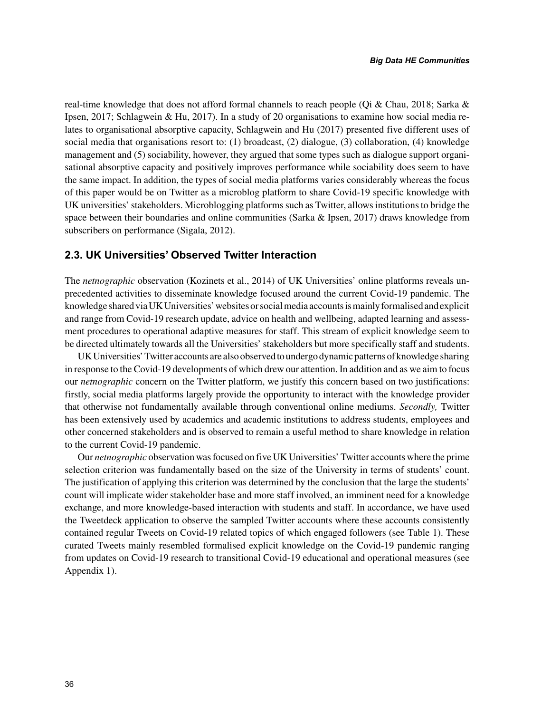real-time knowledge that does not afford formal channels to reach people (Qi & Chau, 2018; Sarka & Ipsen, 2017; Schlagwein & Hu, 2017). In a study of 20 organisations to examine how social media relates to organisational absorptive capacity, Schlagwein and Hu (2017) presented five different uses of social media that organisations resort to: (1) broadcast, (2) dialogue, (3) collaboration, (4) knowledge management and (5) sociability, however, they argued that some types such as dialogue support organisational absorptive capacity and positively improves performance while sociability does seem to have the same impact. In addition, the types of social media platforms varies considerably whereas the focus of this paper would be on Twitter as a microblog platform to share Covid-19 specific knowledge with UK universities' stakeholders. Microblogging platforms such as Twitter, allows institutions to bridge the space between their boundaries and online communities (Sarka & Ipsen, 2017) draws knowledge from subscribers on performance (Sigala, 2012).

#### **2.3. UK Universities' Observed Twitter Interaction**

The *netnographic* observation (Kozinets et al., 2014) of UK Universities' online platforms reveals unprecedented activities to disseminate knowledge focused around the current Covid-19 pandemic. The knowledge shared via UK Universities' websites or social media accounts is mainly formalised and explicit and range from Covid-19 research update, advice on health and wellbeing, adapted learning and assessment procedures to operational adaptive measures for staff. This stream of explicit knowledge seem to be directed ultimately towards all the Universities' stakeholders but more specifically staff and students.

UK Universities' Twitter accounts are also observed to undergo dynamic patterns of knowledge sharing in response to the Covid-19 developments of which drew our attention. In addition and as we aim to focus our *netnographic* concern on the Twitter platform, we justify this concern based on two justifications: firstly, social media platforms largely provide the opportunity to interact with the knowledge provider that otherwise not fundamentally available through conventional online mediums. *Secondly,* Twitter has been extensively used by academics and academic institutions to address students, employees and other concerned stakeholders and is observed to remain a useful method to share knowledge in relation to the current Covid-19 pandemic.

Our *netnographic* observation was focused on five UK Universities' Twitter accounts where the prime selection criterion was fundamentally based on the size of the University in terms of students' count. The justification of applying this criterion was determined by the conclusion that the large the students' count will implicate wider stakeholder base and more staff involved, an imminent need for a knowledge exchange, and more knowledge-based interaction with students and staff. In accordance, we have used the Tweetdeck application to observe the sampled Twitter accounts where these accounts consistently contained regular Tweets on Covid-19 related topics of which engaged followers (see Table 1). These curated Tweets mainly resembled formalised explicit knowledge on the Covid-19 pandemic ranging from updates on Covid-19 research to transitional Covid-19 educational and operational measures (see Appendix 1).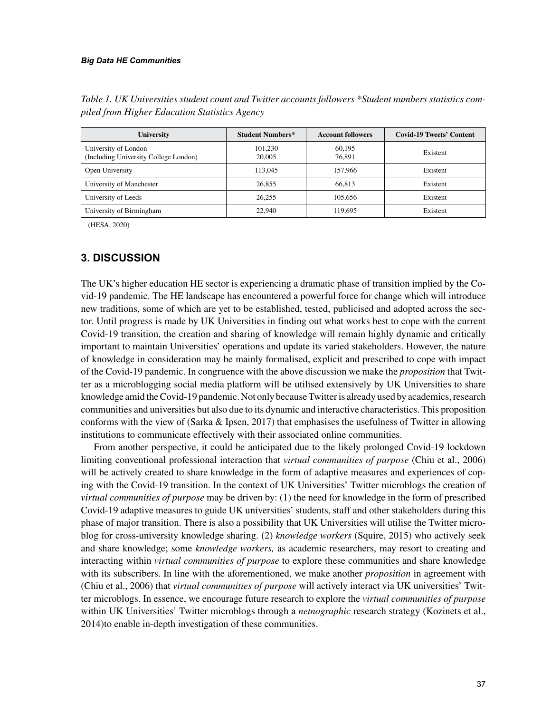#### *Big Data HE Communities*

| <b>University</b>                                             | <b>Student Numbers*</b> | <b>Account followers</b> | <b>Covid-19 Tweets' Content</b> |
|---------------------------------------------------------------|-------------------------|--------------------------|---------------------------------|
| University of London<br>(Including University College London) | 101,230<br>20,005       | 60.195<br>76.891         | Existent                        |
| Open University                                               | 113,045                 | 157,966                  | Existent                        |
| University of Manchester                                      | 26,855                  | 66.813                   | Existent                        |
| University of Leeds                                           | 26,255                  | 105.656                  | Existent                        |
| University of Birmingham                                      | 22,940                  | 119.695                  | Existent                        |

*Table 1. UK Universities student count and Twitter accounts followers \*Student numbers statistics compiled from Higher Education Statistics Agency*

(HESA, 2020)

#### **3. DISCUSSION**

The UK's higher education HE sector is experiencing a dramatic phase of transition implied by the Covid-19 pandemic. The HE landscape has encountered a powerful force for change which will introduce new traditions, some of which are yet to be established, tested, publicised and adopted across the sector. Until progress is made by UK Universities in finding out what works best to cope with the current Covid-19 transition, the creation and sharing of knowledge will remain highly dynamic and critically important to maintain Universities' operations and update its varied stakeholders. However, the nature of knowledge in consideration may be mainly formalised, explicit and prescribed to cope with impact of the Covid-19 pandemic. In congruence with the above discussion we make the *proposition* that Twitter as a microblogging social media platform will be utilised extensively by UK Universities to share knowledge amid the Covid-19 pandemic. Not only because Twitter is already used by academics, research communities and universities but also due to its dynamic and interactive characteristics. This proposition conforms with the view of (Sarka & Ipsen, 2017) that emphasises the usefulness of Twitter in allowing institutions to communicate effectively with their associated online communities.

From another perspective, it could be anticipated due to the likely prolonged Covid-19 lockdown limiting conventional professional interaction that *virtual communities of purpose* (Chiu et al., 2006) will be actively created to share knowledge in the form of adaptive measures and experiences of coping with the Covid-19 transition. In the context of UK Universities' Twitter microblogs the creation of *virtual communities of purpose* may be driven by: (1) the need for knowledge in the form of prescribed Covid-19 adaptive measures to guide UK universities' students, staff and other stakeholders during this phase of major transition. There is also a possibility that UK Universities will utilise the Twitter microblog for cross-university knowledge sharing. (2) *knowledge workers* (Squire, 2015) who actively seek and share knowledge; some *knowledge workers,* as academic researchers, may resort to creating and interacting within *virtual communities of purpose* to explore these communities and share knowledge with its subscribers. In line with the aforementioned, we make another *proposition* in agreement with (Chiu et al., 2006) that *virtual communities of purpose* will actively interact via UK universities' Twitter microblogs. In essence, we encourage future research to explore the *virtual communities of purpose* within UK Universities' Twitter microblogs through a *netnographic* research strategy (Kozinets et al., 2014)to enable in-depth investigation of these communities.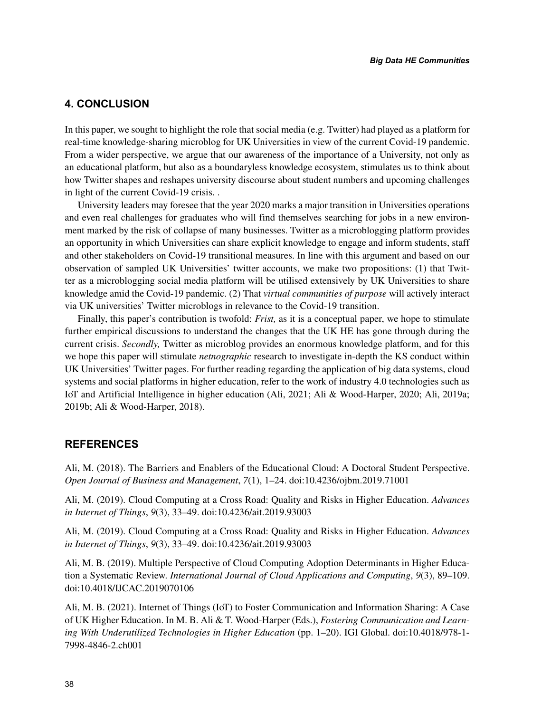#### **4. CONCLUSION**

In this paper, we sought to highlight the role that social media (e.g. Twitter) had played as a platform for real-time knowledge-sharing microblog for UK Universities in view of the current Covid-19 pandemic. From a wider perspective, we argue that our awareness of the importance of a University, not only as an educational platform, but also as a boundaryless knowledge ecosystem, stimulates us to think about how Twitter shapes and reshapes university discourse about student numbers and upcoming challenges in light of the current Covid-19 crisis. .

University leaders may foresee that the year 2020 marks a major transition in Universities operations and even real challenges for graduates who will find themselves searching for jobs in a new environment marked by the risk of collapse of many businesses. Twitter as a microblogging platform provides an opportunity in which Universities can share explicit knowledge to engage and inform students, staff and other stakeholders on Covid-19 transitional measures. In line with this argument and based on our observation of sampled UK Universities' twitter accounts, we make two propositions: (1) that Twitter as a microblogging social media platform will be utilised extensively by UK Universities to share knowledge amid the Covid-19 pandemic. (2) That *virtual communities of purpose* will actively interact via UK universities' Twitter microblogs in relevance to the Covid-19 transition.

Finally, this paper's contribution is twofold: *Frist,* as it is a conceptual paper, we hope to stimulate further empirical discussions to understand the changes that the UK HE has gone through during the current crisis. *Secondly,* Twitter as microblog provides an enormous knowledge platform, and for this we hope this paper will stimulate *netnographic* research to investigate in-depth the KS conduct within UK Universities' Twitter pages. For further reading regarding the application of big data systems, cloud systems and social platforms in higher education, refer to the work of industry 4.0 technologies such as IoT and Artificial Intelligence in higher education (Ali, 2021; Ali & Wood-Harper, 2020; Ali, 2019a; 2019b; Ali & Wood-Harper, 2018).

#### **REFERENCES**

Ali, M. (2018). The Barriers and Enablers of the Educational Cloud: A Doctoral Student Perspective. *Open Journal of Business and Management*, *7*(1), 1–24. doi:10.4236/ojbm.2019.71001

Ali, M. (2019). Cloud Computing at a Cross Road: Quality and Risks in Higher Education. *Advances in Internet of Things*, *9*(3), 33–49. doi:10.4236/ait.2019.93003

Ali, M. (2019). Cloud Computing at a Cross Road: Quality and Risks in Higher Education. *Advances in Internet of Things*, *9*(3), 33–49. doi:10.4236/ait.2019.93003

Ali, M. B. (2019). Multiple Perspective of Cloud Computing Adoption Determinants in Higher Education a Systematic Review. *International Journal of Cloud Applications and Computing*, *9*(3), 89–109. doi:10.4018/IJCAC.2019070106

Ali, M. B. (2021). Internet of Things (IoT) to Foster Communication and Information Sharing: A Case of UK Higher Education. In M. B. Ali & T. Wood-Harper (Eds.), *Fostering Communication and Learning With Underutilized Technologies in Higher Education* (pp. 1–20). IGI Global. doi:10.4018/978-1- 7998-4846-2.ch001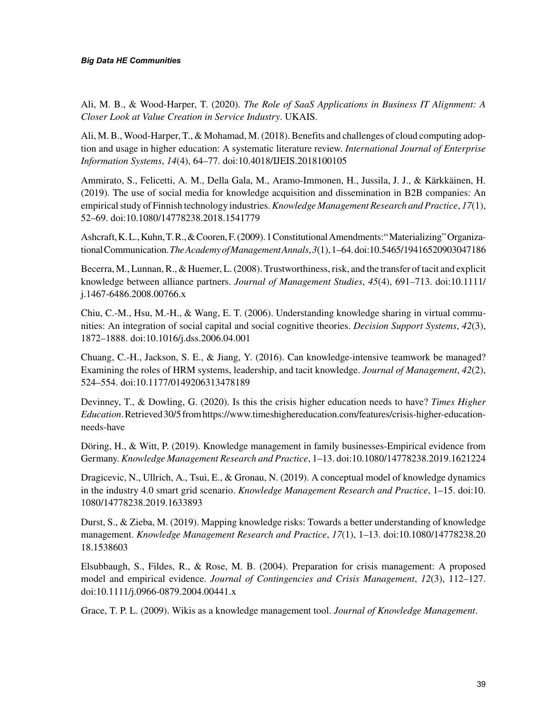Ali, M. B., & Wood-Harper, T. (2020). *The Role of SaaS Applications in Business IT Alignment: A Closer Look at Value Creation in Service Industry*. UKAIS.

Ali, M. B., Wood-Harper, T., & Mohamad, M. (2018). Benefits and challenges of cloud computing adoption and usage in higher education: A systematic literature review. *International Journal of Enterprise Information Systems*, *14*(4), 64–77. doi:10.4018/IJEIS.2018100105

Ammirato, S., Felicetti, A. M., Della Gala, M., Aramo-Immonen, H., Jussila, J. J., & Kärkkäinen, H. (2019). The use of social media for knowledge acquisition and dissemination in B2B companies: An empirical study of Finnish technology industries. *Knowledge Management Research and Practice*, *17*(1), 52–69. doi:10.1080/14778238.2018.1541779

Ashcraft, K. L., Kuhn, T. R., & Cooren, F. (2009). 1 Constitutional Amendments:" Materializing" Organizational Communication. *The Academy of Management Annals*, *3*(1), 1–64. doi:10.5465/19416520903047186

Becerra, M., Lunnan, R., & Huemer, L. (2008). Trustworthiness, risk, and the transfer of tacit and explicit knowledge between alliance partners. *Journal of Management Studies*, *45*(4), 691–713. doi:10.1111/ j.1467-6486.2008.00766.x

Chiu, C.-M., Hsu, M.-H., & Wang, E. T. (2006). Understanding knowledge sharing in virtual communities: An integration of social capital and social cognitive theories. *Decision Support Systems*, *42*(3), 1872–1888. doi:10.1016/j.dss.2006.04.001

Chuang, C.-H., Jackson, S. E., & Jiang, Y. (2016). Can knowledge-intensive teamwork be managed? Examining the roles of HRM systems, leadership, and tacit knowledge. *Journal of Management*, *42*(2), 524–554. doi:10.1177/0149206313478189

Devinney, T., & Dowling, G. (2020). Is this the crisis higher education needs to have? *Times Higher Education*. Retrieved 30/5 from https://www.timeshighereducation.com/features/crisis-higher-educationneeds-have

Döring, H., & Witt, P. (2019). Knowledge management in family businesses-Empirical evidence from Germany. *Knowledge Management Research and Practice*, 1–13. doi:10.1080/14778238.2019.1621224

Dragicevic, N., Ullrich, A., Tsui, E., & Gronau, N. (2019). A conceptual model of knowledge dynamics in the industry 4.0 smart grid scenario. *Knowledge Management Research and Practice*, 1–15. doi:10. 1080/14778238.2019.1633893

Durst, S., & Zieba, M. (2019). Mapping knowledge risks: Towards a better understanding of knowledge management. *Knowledge Management Research and Practice*, *17*(1), 1–13. doi:10.1080/14778238.20 18.1538603

Elsubbaugh, S., Fildes, R., & Rose, M. B. (2004). Preparation for crisis management: A proposed model and empirical evidence. *Journal of Contingencies and Crisis Management*, *12*(3), 112–127. doi:10.1111/j.0966-0879.2004.00441.x

Grace, T. P. L. (2009). Wikis as a knowledge management tool. *Journal of Knowledge Management*.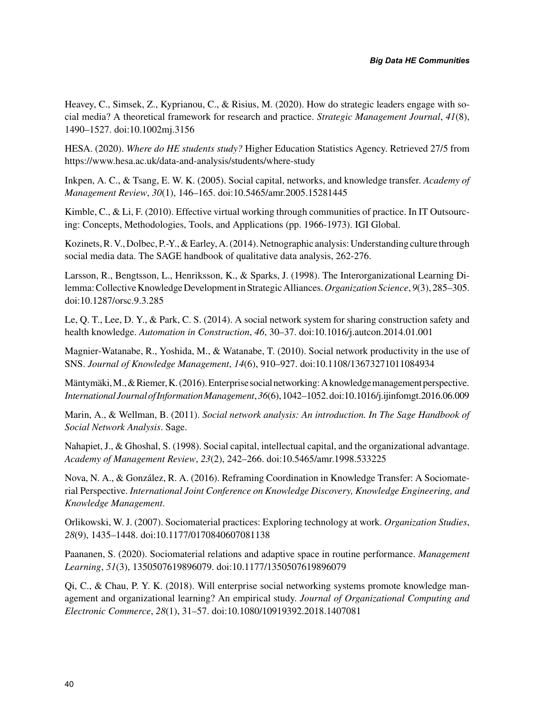Heavey, C., Simsek, Z., Kyprianou, C., & Risius, M. (2020). How do strategic leaders engage with social media? A theoretical framework for research and practice. *Strategic Management Journal*, *41*(8), 1490–1527. doi:10.1002mj.3156

HESA. (2020). *Where do HE students study?* Higher Education Statistics Agency. Retrieved 27/5 from https://www.hesa.ac.uk/data-and-analysis/students/where-study

Inkpen, A. C., & Tsang, E. W. K. (2005). Social capital, networks, and knowledge transfer. *Academy of Management Review*, *30*(1), 146–165. doi:10.5465/amr.2005.15281445

Kimble, C., & Li, F. (2010). Effective virtual working through communities of practice. In IT Outsourcing: Concepts, Methodologies, Tools, and Applications (pp. 1966-1973). IGI Global.

Kozinets, R. V., Dolbec, P.-Y., & Earley, A. (2014). Netnographic analysis: Understanding culture through social media data. The SAGE handbook of qualitative data analysis, 262-276.

Larsson, R., Bengtsson, L., Henriksson, K., & Sparks, J. (1998). The Interorganizational Learning Dilemma: Collective Knowledge Development in Strategic Alliances. *Organization Science*, *9*(3), 285–305. doi:10.1287/orsc.9.3.285

Le, Q. T., Lee, D. Y., & Park, C. S. (2014). A social network system for sharing construction safety and health knowledge. *Automation in Construction*, *46*, 30–37. doi:10.1016/j.autcon.2014.01.001

Magnier-Watanabe, R., Yoshida, M., & Watanabe, T. (2010). Social network productivity in the use of SNS. *Journal of Knowledge Management*, *14*(6), 910–927. doi:10.1108/13673271011084934

Mäntymäki, M., & Riemer, K. (2016). Enterprise social networking: A knowledge management perspective. *International Journal of Information Management*, *36*(6), 1042–1052. doi:10.1016/j.ijinfomgt.2016.06.009

Marin, A., & Wellman, B. (2011). *Social network analysis: An introduction. In The Sage Handbook of Social Network Analysis*. Sage.

Nahapiet, J., & Ghoshal, S. (1998). Social capital, intellectual capital, and the organizational advantage. *Academy of Management Review*, *23*(2), 242–266. doi:10.5465/amr.1998.533225

Nova, N. A., & González, R. A. (2016). Reframing Coordination in Knowledge Transfer: A Sociomaterial Perspective. *International Joint Conference on Knowledge Discovery, Knowledge Engineering, and Knowledge Management*.

Orlikowski, W. J. (2007). Sociomaterial practices: Exploring technology at work. *Organization Studies*, *28*(9), 1435–1448. doi:10.1177/0170840607081138

Paananen, S. (2020). Sociomaterial relations and adaptive space in routine performance. *Management Learning*, *51*(3), 1350507619896079. doi:10.1177/1350507619896079

Qi, C., & Chau, P. Y. K. (2018). Will enterprise social networking systems promote knowledge management and organizational learning? An empirical study. *Journal of Organizational Computing and Electronic Commerce*, *28*(1), 31–57. doi:10.1080/10919392.2018.1407081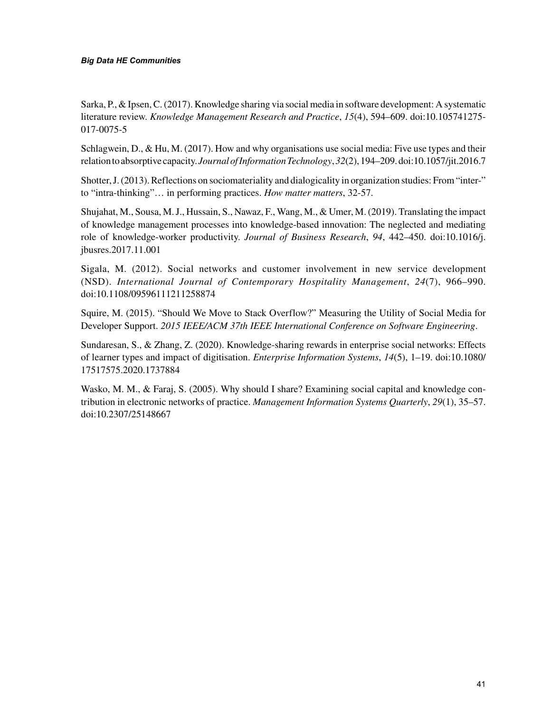#### *Big Data HE Communities*

Sarka, P., & Ipsen, C. (2017). Knowledge sharing via social media in software development: A systematic literature review. *Knowledge Management Research and Practice*, *15*(4), 594–609. doi:10.105741275- 017-0075-5

Schlagwein, D., & Hu, M. (2017). How and why organisations use social media: Five use types and their relation to absorptive capacity. *Journal of Information Technology*, *32*(2), 194–209. doi:10.1057/jit.2016.7

Shotter, J. (2013). Reflections on sociomateriality and dialogicality in organization studies: From "inter-" to "intra-thinking"… in performing practices. *How matter matters*, 32-57.

Shujahat, M., Sousa, M. J., Hussain, S., Nawaz, F., Wang, M., & Umer, M. (2019). Translating the impact of knowledge management processes into knowledge-based innovation: The neglected and mediating role of knowledge-worker productivity. *Journal of Business Research*, *94*, 442–450. doi:10.1016/j. jbusres.2017.11.001

Sigala, M. (2012). Social networks and customer involvement in new service development (NSD). *International Journal of Contemporary Hospitality Management*, *24*(7), 966–990. doi:10.1108/09596111211258874

Squire, M. (2015). "Should We Move to Stack Overflow?" Measuring the Utility of Social Media for Developer Support. *2015 IEEE/ACM 37th IEEE International Conference on Software Engineering*.

Sundaresan, S., & Zhang, Z. (2020). Knowledge-sharing rewards in enterprise social networks: Effects of learner types and impact of digitisation. *Enterprise Information Systems*, *14*(5), 1–19. doi:10.1080/ 17517575.2020.1737884

Wasko, M. M., & Faraj, S. (2005). Why should I share? Examining social capital and knowledge contribution in electronic networks of practice. *Management Information Systems Quarterly*, *29*(1), 35–57. doi:10.2307/25148667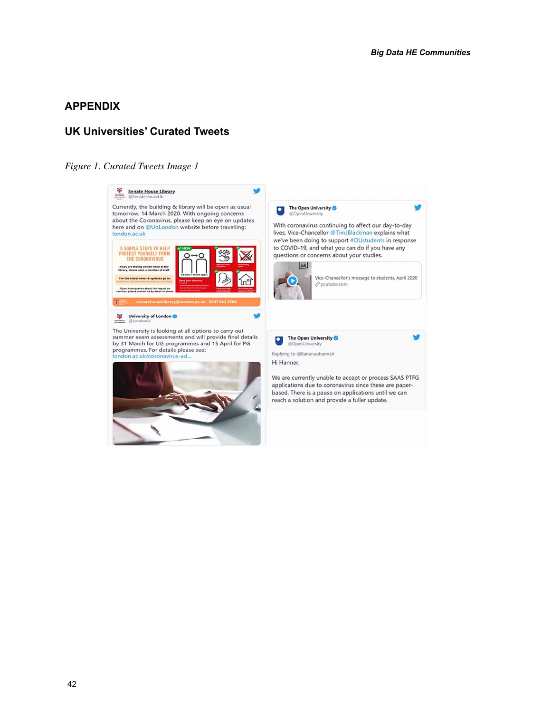#### **APPENDIX**

#### **UK Universities' Curated Tweets**

#### *Figure 1. Curated Tweets Image 1*

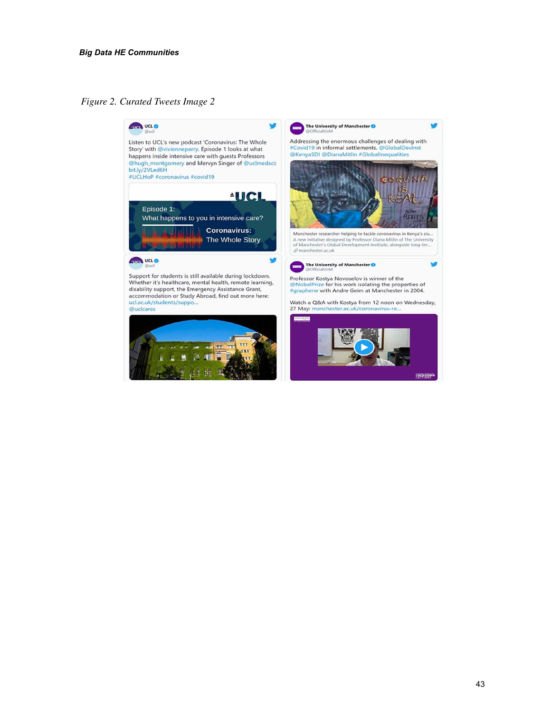*Figure 2. Curated Tweets Image 2*